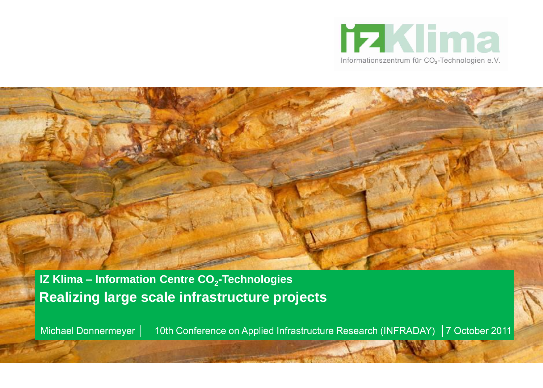

**IZ Klima – Information Centre CO<sup>2</sup> -Technologies Realizing large scale infrastructure projects**

Michael Donnermeyer │ 10th Conference on Applied Infrastructure Research (INFRADAY) │7 October 2011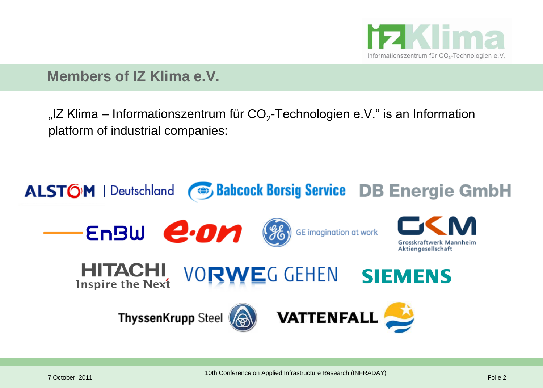

#### **Members of IZ Klima e.V.**

"IZ Klima – Informationszentrum für CO<sub>2</sub>-Technologien e.V." is an Information platform of industrial companies:

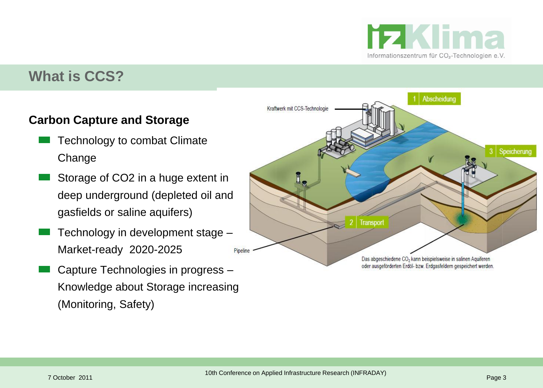

#### **What is CCS?**

#### **Carbon Capture and Storage**

- Technology to combat Climate Change
- Storage of CO2 in a huge extent in deep underground (depleted oil and gasfields or saline aquifers)
- Technology in development stage Market-ready 2020-2025
- Capture Technologies in progress Knowledge about Storage increasing (Monitoring, Safety)

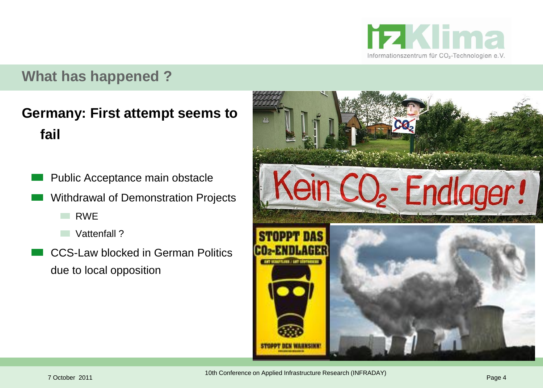

## **What has happened ?**

## **Germany: First attempt seems to fail**

- Public Acceptance main obstacle
- Withdrawal of Demonstration Projects
	- **The Co** RWE
	- Vattenfall ?
- CCS-Law blocked in German Politics due to local opposition

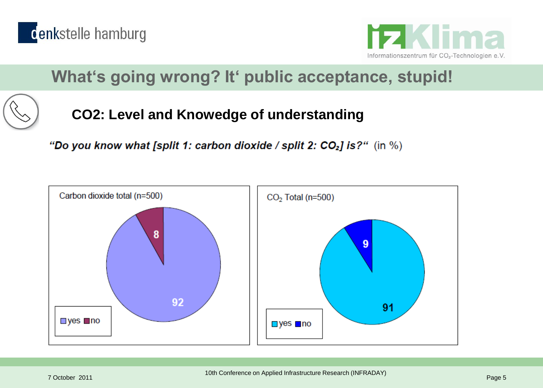



# **What's going wrong? It' public acceptance, stupid!**

## **CO2: Level and Knowedge of understanding**

"Do you know what [split 1: carbon dioxide / split 2:  $CO<sub>2</sub>$ ] is?" (in %)

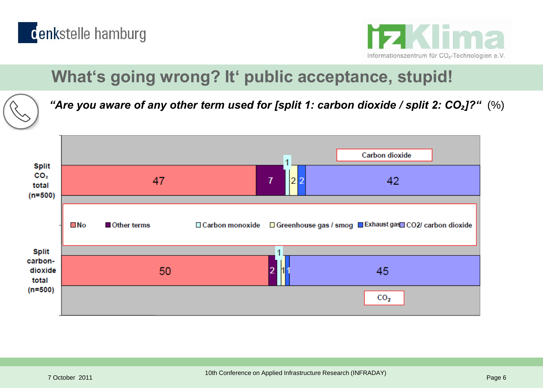



# **What's going wrong? It' public acceptance, stupid!**

*"Are you aware of any other term used for [split 1: carbon dioxide / split 2: CO₂]?"* (%)

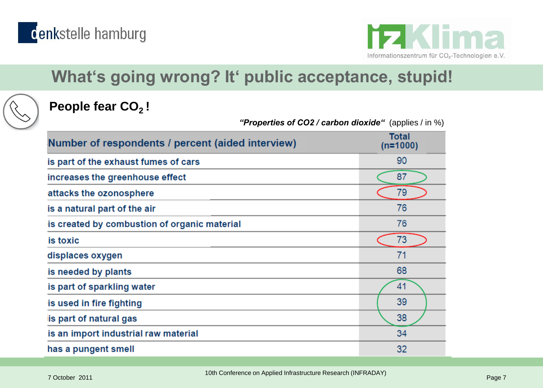



# **What's going wrong? It' public acceptance, stupid!**

## **People fear CO2 !**

| "Properties of CO27 carbon dioxide" (applies / in %) |                            |  |  |
|------------------------------------------------------|----------------------------|--|--|
| Number of respondents / percent (aided interview)    | <b>Total</b><br>$(n=1000)$ |  |  |
| is part of the exhaust fumes of cars                 | 90                         |  |  |
| increases the greenhouse effect                      | 87                         |  |  |
| attacks the ozonosphere                              | 79                         |  |  |
| is a natural part of the air                         | 76                         |  |  |
| is created by combustion of organic material         | 76                         |  |  |
| is toxic                                             | 73                         |  |  |
| displaces oxygen                                     | 71                         |  |  |
| is needed by plants                                  | 68                         |  |  |
| is part of sparkling water                           | 41                         |  |  |
| is used in fire fighting                             | 39                         |  |  |
| is part of natural gas                               | 38                         |  |  |
| is an import industrial raw material                 | 34                         |  |  |
| has a pungent smell                                  | 32                         |  |  |

*"Properties of CO2 / carbon dioxide"* (applies / in %)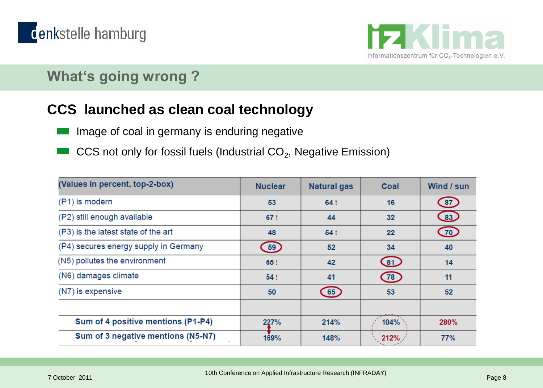



## **What's going wrong ?**

### **CCS launched as clean coal technology**

- Image of coal in germany is enduring negative
- CCS not only for fossil fuels (Industrial CO<sub>2</sub>, Negative Emission)

| (Values in percent, top-2-box)        | <b>Nuclear</b>  | <b>Natural gas</b> | Coal            | Wind / sun      |
|---------------------------------------|-----------------|--------------------|-----------------|-----------------|
| (P1) is modern                        | 53              | 64!                | 16              | $\overline{87}$ |
| (P2) still enough available           | 67!             | 44                 | 32 <sub>2</sub> | $\frac{83}{2}$  |
| (P3) is the latest state of the art   | 48              | 54!                | 22              | <u>Czo</u>      |
| (P4) secures energy supply in Germany | $\overline{59}$ | 52                 | 34              | 40              |
| (N5) pollutes the environment         | 65!             | 42                 | $\binom{81}{ }$ | 14              |
| (N6) damages climate                  | 54!             | 41                 | (78)            | 11              |
| (N7) is expensive                     | 50              | 65                 | 53              | 52              |
| Sum of 4 positive mentions (P1-P4)    | 227%            | 214%               | 104%            | 280%            |
| Sum of 3 negative mentions (N5-N7)    | 169%            | 148%               | 212%            | 77%             |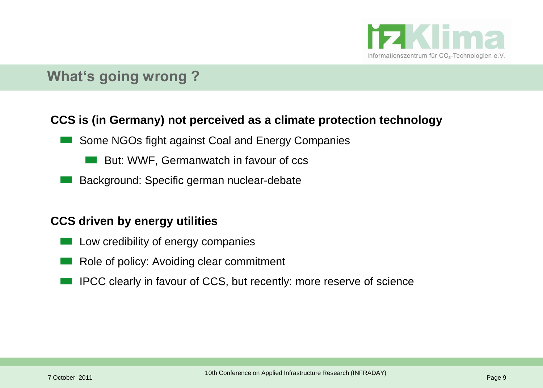

## **What's going wrong ?**

#### **CCS is (in Germany) not perceived as a climate protection technology**

- Some NGOs fight against Coal and Energy Companies
	- But: WWF, Germanwatch in favour of ccs
- Background: Specific german nuclear-debate

#### **CCS driven by energy utilities**

- Low credibility of energy companies
- Role of policy: Avoiding clear commitment
- IPCC clearly in favour of CCS, but recently: more reserve of science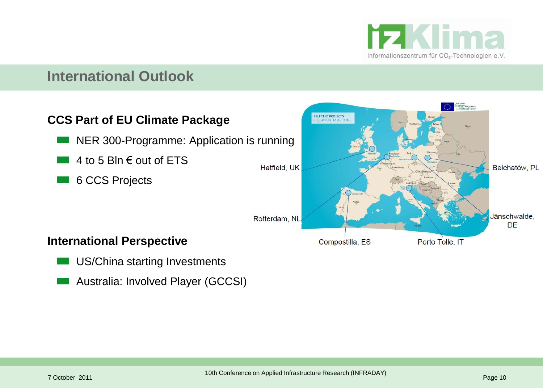

## **International Outlook**



- US/China starting Investments
- Australia: Involved Player (GCCSI)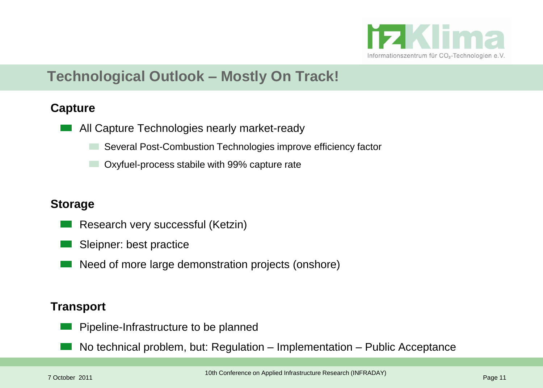

## **Technological Outlook – Mostly On Track!**

#### **Capture**

- All Capture Technologies nearly market-ready
	- Several Post-Combustion Technologies improve efficiency factor
	- Oxyfuel-process stabile with 99% capture rate

#### **Storage**

- Research very successful (Ketzin)
- Sleipner: best practice
- Need of more large demonstration projects (onshore)

#### **Transport**

- Pipeline-Infrastructure to be planned
- No technical problem, but: Regulation Implementation Public Acceptance